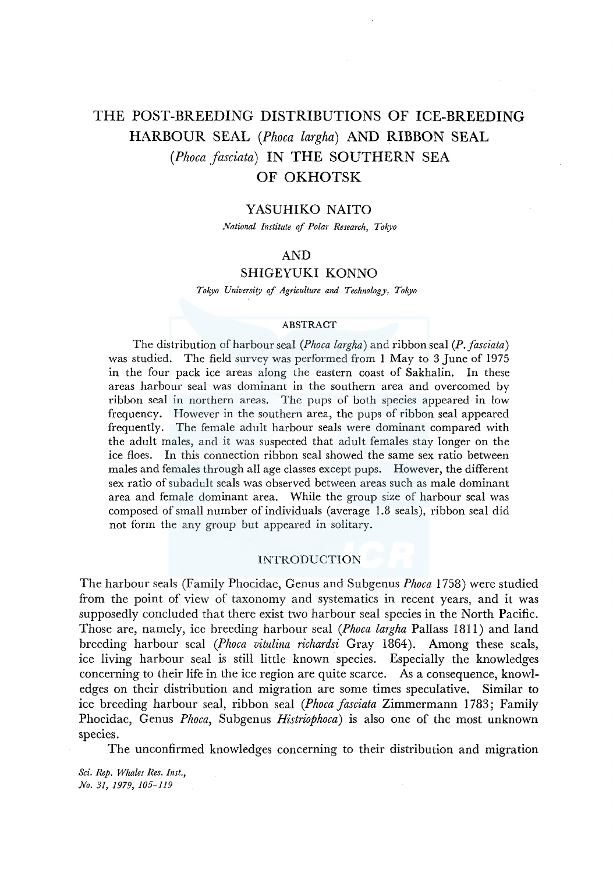# THE POST-BREEDING DISTRIBUTIONS OF ICE-BREEDING HARBOUR SEAL *(Phoca largha)* AND RIBBON SEAL *(Phoca jasciata)* IN THE SOUTHERN SEA OF OKHOTSK

# YASUHIKO NAITO

*National Institute of Polar Research, Tokyo* 

# AND

# SHIGEYUKI KONNO

*Tokyo University of Agriculture and Technology, Tok)•O* 

# **ABSTRACT**

The distribution of harbour seal *(Phoca largha)* and ribbon seal *(P. fasciata)* was studied. The field survey was performed from 1 May to 3 June of 1975 in the four pack ice areas along the eastern coast of Sakhalin. In these areas harbour seal was dominant in the southern area and overcomed by ribbon seal in northern areas. The pups of both species appeared in low frequency. However in the southern area, the pups of ribbon seal appeared frequently. The female adult harbour seals were dominant compared with the adult males, and it was suspected that adult females stay longer on the ice floes. In this connection ribbon seal showed the same sex ratio between males and females through all age classes except pups. However, the different sex ratio of subadult seals was observed between areas such as male dominant area and female dominant area. While the group size of harbour seal was composed of small number of individuals (average 1.8 seals), ribbon seal did not form the any group but appeared in solitary.

# INTRODUCTION

The harbour seals (Family Phocidae, Genus and Subgenus *Phoca* 1758) were studied from the point of view of taxonomy and systematics in recent years, and it was supposedly concluded that there exist two harbour seal species in the North Pacific. Those are, namely, ice breeding harbour seal *(Phoca largha* Pallass 1811) and land breeding harbour seal *(Phoca vitulina richardsi* Gray 1864 ). Among these seals, ice living harbour seal is still little known species. Especially the knowledges concerning to their life in the ice region are quite scarce. As a consequence, knowledges on their distribution and migration are some times speculative. Similar to ice breeding harbour seal, ribbon seal *(Phoca fasciata* Zimmermann 1783; Family Phocidae, Genus *Phoca,* Subgenus *Histriophoca)* is also one of the most unknown species.

The unconfirmed knowledges concerning to their distribution and migration

*Sci. Rep. Whales Res. Inst., No. 31, 1979, 105-119*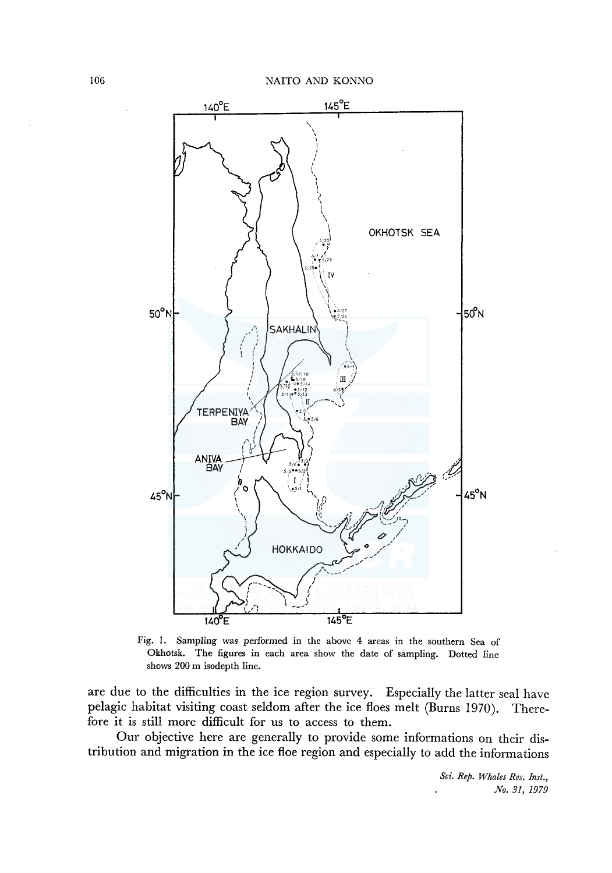

Fig. 1. Sampling was performed in the above 4 areas in the southern Sea of Okhotsk. The figures in each area show the date of sampling. Dotted line shows 200 m isodepth line.

are due to the difficulties in the ice region survey. Especially the latter seal have pelagic habitat visiting coast seldom after the ice floes melt (Burns 1970). Therefore it is still more difficult for us to access to them.

Our objective here are generally to provide some informations on their distribution and migration in the ice floe region and especially to add the informations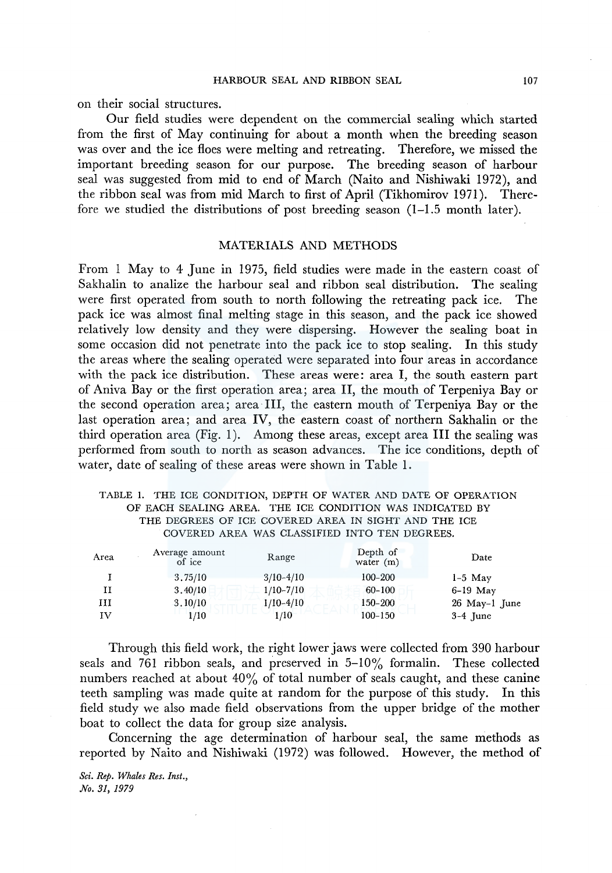on their social structures.

Our field studies were dependent on the commercial sealing which started from the first of May continuing for about a month when the breeding season was over and the ice floes were melting and retreating. Therefore, we missed the important breeding season for our purpose. The breeding season of harbour seal was suggested from mid to end of March (Naito and Nishiwaki 1972), and the ribbon seal was from mid March to first of April (Tikhomirov 1971). Therefore we studied the distributions of post breeding season (1-1.5 month later).

### MATERIALS AND METHODS

From 1 May to 4 June in 1975, field studies were made in the eastern coast of Sakhalin to analize the harbour seal and ribbon seal distribution. The sealing were first operated from south to north following the retreating pack ice. The pack ice was almost final melting stage in this season, and the pack ice showed relatively low density and they were dispersing. However the sealing boat in some occasion did not penetrate into the pack ice to stop sealing. In this study the areas where the sealing operated were separated into four areas in accordance with the pack ice distribution. These areas were: area I, the south eastern part of Aniva Bay or the first operation area; area II, the mouth of Terpeniya Bay or the second operation area; area III, the eastern mouth of Terpeniya Bay or the last operation area; and area IV, the eastern coast of northern Sakhalin or the third operation area (Fig. 1). Among these areas, except area III the sealing was performed from south to north as season advances. The ice conditions, depth of water, date of sealing of these areas were shown in Table 1.

# TABLE 1. THE ICE CONDITION, DEPTH OF WATER AND DATE OF OPERATION OF EACH SEALING AREA. THE ICE CONDITION WAS INDICATED BY THE DEGREES OF ICE COVERED AREA IN SIGHT AND THE ICE COVERED AREA WAS CLASSIFIED INTO TEN DEGREES.

| Area | Average amount<br>of ice | Range       | Depth of<br>water $(m)$ | Date            |
|------|--------------------------|-------------|-------------------------|-----------------|
|      | 3,75/10                  | $3/10-4/10$ | $100 - 200$             | $1-5$ May       |
| и    | 3,40/10                  | $1/10-7/10$ | 60-100                  | $6-19$ May      |
| ш    | 3.10/10                  | $1/10-4/10$ | $150 - 200$             | $26$ May-1 June |
| ΙV   | 1/10                     | 1/10        | $100 - 150$             | $3-4$ June      |

Through this field work, the right lower jaws were collected from 390 harbour seals and 761 ribbon seals, and preserved in 5-10% formalin. These collected numbers reached at about 40% of total number of seals caught, and these canine teeth sampling was made quite at random for the purpose of this study. In this field study we also made field observations from the upper bridge of the mother boat to collect the data for group size analysis.

Concerning the age determination of harbour seal, the same methods as reported by Naito and Nishiwaki (1972) was followed. However, the method of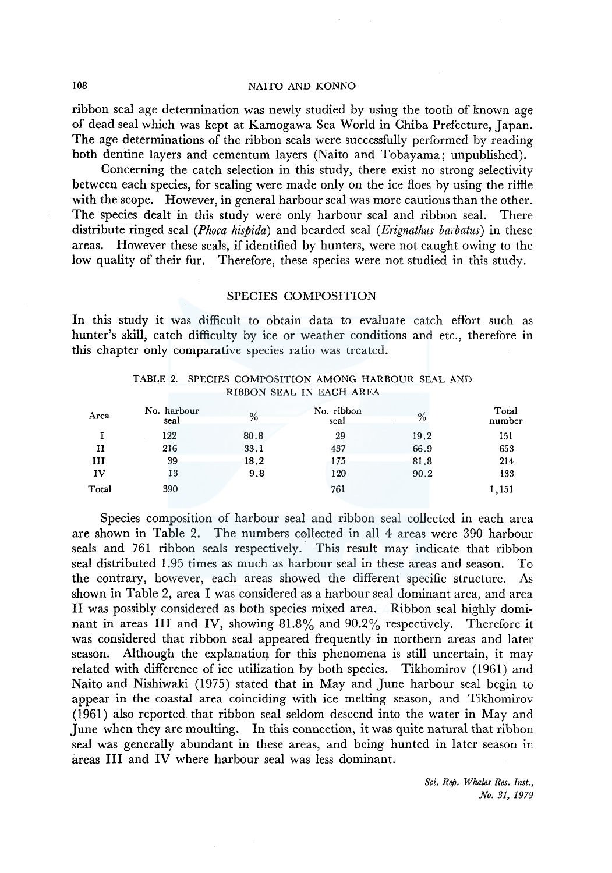ribbon seal age determination was newly studied by using the tooth of known age of dead seal which was kept at Kamogawa Sea World in Chiba Prefecture, Japan. The age determinations of the ribbon seals were successfully performed by reading both dentine layers and cementum layers (Naito and Tobayama; unpublished).

Concerning the catch selection in this study, there exist no strong selectivity between each species, for sealing were made only on the ice floes by using the riffie with the scope. However, in general harbour seal was more cautious than the other. The species dealt in this study were only harbour seal and ribbon seal. There distribute ringed seal *(Phoca hispida)* and bearded seal *(Erignathus barbatus)* in these areas. However these seals, if identified by hunters, were not caught owing to the low quality of their fur. Therefore, these species were not studied in this study.

# SPECIES COMPOSITION

In this study it was difficult to obtain data to evaluate catch effort such as hunter's skill, catch difficulty by ice or weather conditions and etc., therefore in this chapter only comparative species ratio was treated.

| TABLE 2. SPECIES COMPOSITION AMONG HARBOUR SEAL AND |  |
|-----------------------------------------------------|--|
| RIBBON SEAL IN EACH AREA                            |  |

| Area  | No. harbour<br>seal | %    | No. ribbon<br>seal | $\%$<br>$\mathcal{L}$ | Total<br>number |
|-------|---------------------|------|--------------------|-----------------------|-----------------|
|       | 122                 | 80.8 | 29                 | 19.2                  | 151             |
| н     | 216                 | 33.1 | 437                | 66.9                  | 653             |
| ш     | 39                  | 18.2 | 175                | 81.8                  | 214             |
| IV    | 13                  | 9.8  | 120                | 90.2                  | 133             |
| Total | 390                 |      | 761                |                       | 1,151           |

Species composition of harbour seal and ribbon seal collected in each area are shown in Table 2. The numbers collected in all 4 areas were 390 harbour seals and 761 ribbon seals respectively. This result may indicate that ribbon seal distributed 1.95 times as much as harbour seal in these areas and season. To the contrary, however, each areas showed the different specific structure. As shown in Table 2, area I was considered as a harbour seal dominant area, and area II was possibly considered as both species mixed area. Ribbon seal highly dominant in areas III and IV, showing 81.8% and 90.2% respectively. Therefore it was considered that ribbon seal appeared frequently in northern areas and later season. Although the explanation for this phenomena is still uncertain, it may related with difference of ice utilization by both species. Tikhomirov (1961) and Naito and Nishiwaki (1975) stated that in May and June harbour seal begin to appear in the coastal area coinciding with ice melting season, and Tikhomirov (1961) also reported that ribbon seal seldom descend into the water in May and June when they are moulting. In this connection, it was quite natural that ribbon seal was generally abundant in these areas, and being hunted in later season in areas III and IV where harbour seal was less dominant.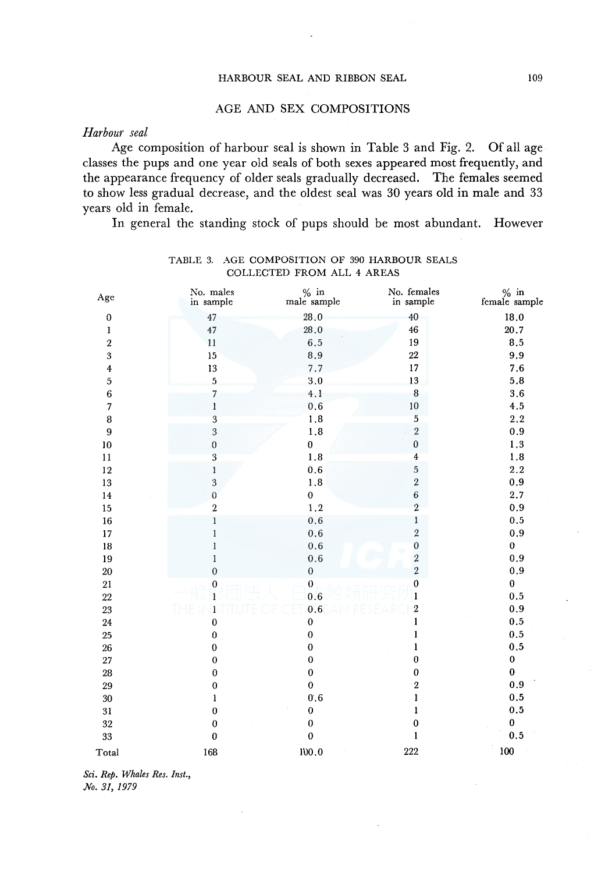# AGE AND SEX COMPOSITIONS

# *Harbour seal*

Age composition of harbour seal is shown in Table 3 and Fig. 2. Of all age classes the pups and one year old seals of both sexes appeared most frequently, and the appearance frequency of older seals gradually decreased. The females seemed to show less gradual decrease, and the oldest seal was 30 years old in male and 33 years old in female.

In general the standing stock of pups should be most abundant. However

| Age                     | No. males<br>in sample  | $\%$ in<br>male sample | No. females<br>in sample | $\%$ in female sample |
|-------------------------|-------------------------|------------------------|--------------------------|-----------------------|
| $\pmb{0}$               | 47                      | 28.0                   | 40                       | 18.0                  |
| 1                       | 47                      | 28.0                   | 46                       | 20.7                  |
| $\sqrt{2}$              | 11                      | 6.5                    | 19                       | 8.5                   |
| $\overline{\mathbf{3}}$ | 15                      | 8.9                    | $22\,$                   | 9.9                   |
| $\overline{4}$          | 13                      | 7.7                    | 17                       | 7.6                   |
| $\overline{\mathbf{5}}$ | $\overline{\mathbf{5}}$ | 3,0                    | 13                       | 5.8                   |
| $\overline{6}$          | $\overline{7}$          | 4.1                    | $\bf 8$                  | 3.6                   |
| $\overline{7}$          | $\bf{l}$                | $0.6\,$                | $10\,$                   | 4.5                   |
| $\bf{8}$                | 3                       | $1.8\,$                | $\overline{5}$           | $2.2\,$               |
| $\overline{9}$          | $\overline{3}$          | $1.8\,$                | $\sqrt{2}$               | 0.9                   |
| $10\,$                  | $\boldsymbol{0}$        | $\pmb{0}$              | $\pmb{0}$                | 1.3                   |
| 11                      | $\overline{\mathbf{3}}$ | 1.8                    | $\overline{4}$           | 1.8                   |
| 12                      | $\bf{l}$                | 0.6                    | $\overline{5}$           | 2.2                   |
| 13                      | $\sqrt{3}$              | 1.8                    | $\overline{2}$           | $\boldsymbol{0.9}$    |
| 14                      | $\overline{0}$          | $\mathbf 0$            | $\boldsymbol{6}$         | 2.7                   |
| 15                      | $\,2\,$                 | 1.2                    | $\overline{2}$           | 0.9                   |
| 16                      | $\mathbf{1}$            | $0.6\,$                | $\pmb{1}$                | 0.5                   |
| 17                      | $\mathbf{1}$            | $0.6\,$                | $\overline{2}$           | 0.9                   |
| 18                      | $\mathbf{I}$            | $0.6\,$                | $\pmb{0}$                | $\bf{0}$              |
| 19                      | $\mathbf{1}$            | 0.6                    |                          | 0.9                   |
| 20                      | $\boldsymbol{0}$        | $\boldsymbol{0}$       | $\frac{2}{2}$            | 0.9                   |
| 21                      | $\boldsymbol{0}$        | $\boldsymbol{0}$       | $\boldsymbol{0}$         | $\pmb{0}$             |
| $22\,$                  | 1                       | 0.6                    | $\mathbf{1}$             | 0.5                   |
| 23                      | 1                       | 0.6                    | $\overline{2}$           | 0.9                   |
| 24                      | $\bf{0}$                | $\pmb{0}$              | $\mathbf{1}$             | $0.5\,$               |
| 25                      | $\pmb{0}$               | $\pmb{0}$              | 1                        | $0.5\,$               |
| $26\,$                  | $\bf{0}$                | $\bf{0}$               | ı                        | $\mathbf{0.5}$        |
| 27                      | $\bf{0}$                | $\pmb{0}$              | $\bf{0}$                 | $\pmb{0}$             |
| $\rm 28$                | $\boldsymbol{0}$        | $\bf{0}$               | $\bf{0}$                 | $\pmb{0}$             |
| 29                      | $\pmb{0}$               | $\bf{0}$               | $\boldsymbol{2}$         | 0.9                   |
| 30                      | 1                       | $0.6\,$                | $\mathbf{1}$             | $0.5\,$               |
| 31                      | $\bf{0}$                | $\bf{0}$               | ı                        | 0.5                   |
| $32\,$                  | $\bf{0}$                | $\pmb{0}$              | $\mathbf 0$              | 0                     |
| 33                      | $\bf{0}$                | $\bf{0}$               | $\mathbf{I}$             | 0.5                   |
| Total                   | 168                     | 100.0                  | 222                      | 100                   |

# TABLE 3. AGE COMPOSITION OF 390 HARBOUR SEALS COLLECTED FROM ALL 4 AREAS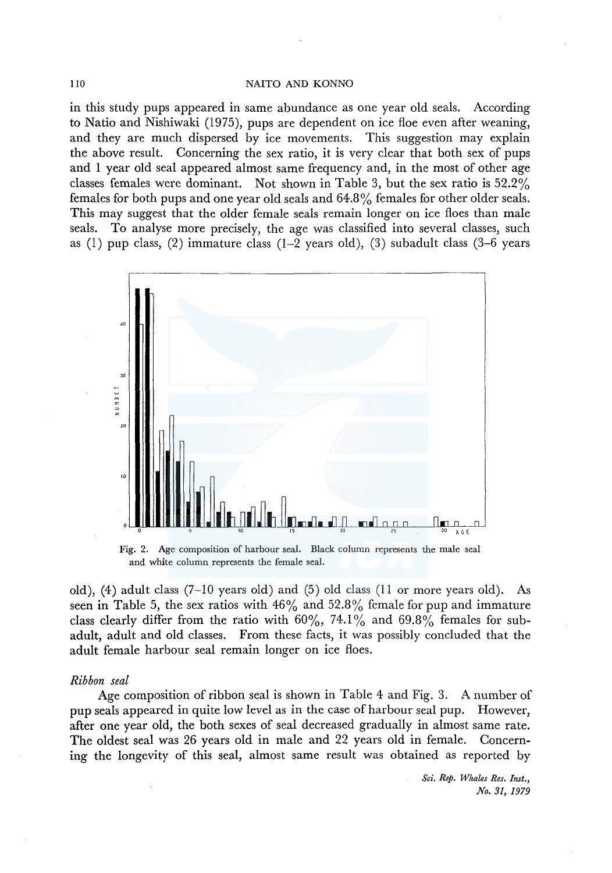in this study pups appeared in same abundance as one year old seals. According to Natio and Nishiwaki (1975), pups are dependent on ice floe even after weaning, and they are much dispersed by ice movements. This suggestion may explain the above result. Concerning the sex ratio, it is very clear that both sex of pups and 1 year old seal appeared almost same frequency and, in the most of other age classes females were dominant. Not shown in Table 3, but the sex ratio is 52.2% females for both pups and one year old seals and 64.8% females for other older seals. This may suggest that the older female seals remain longer on ice floes than male seals. To analyse more precisely, the age was classified into several classes, such as (1) pup class, (2) immature class (1-2 years old), (3) subadult class (3-6 years



Fig. 2. Age composition of harbour seal. Black column represents the male seal and white column represents the female seal.

old), (4) adult class (7-10 years old) and (5) old class (11 or more years old). As seen in Table 5, the sex ratios with  $46\%$  and  $52.8\%$  female for pup and immature class clearly differ from the ratio with  $60\%, 74.1\%$  and  $69.8\%$  females for subadult, adult and old classes. From these facts, it was possibly concluded that the adult female harbour seal remain longer on ice floes.

#### *Ribbon seal*

Age composition of ribbon seal is shown in Table 4 and Fig. 3. A number of pup seals appeared in quite low level as in the case of harbour seal pup. However, after one year old, the both sexes of seal decreased gradually in almost same rate. The oldest seal was 26 years old in male and 22 years old in female. Concerning the longevity of this seal, almost same result was obtained as reported by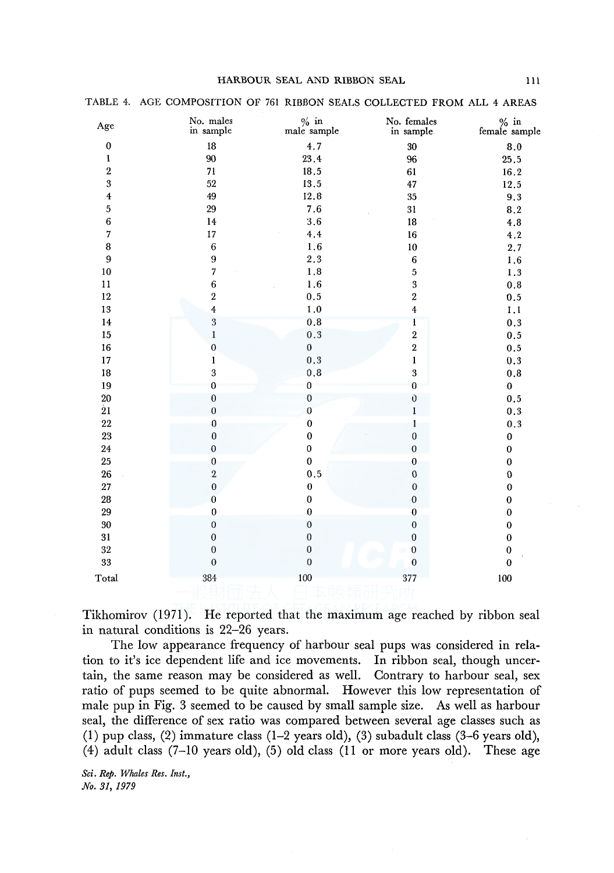### HARBOUR SEAL AND RIBBON SEAL 111

| Age                     | No. males<br>in sample  | $%$ in<br>male sample | No. females<br>in sample | $\%$ in female sample |
|-------------------------|-------------------------|-----------------------|--------------------------|-----------------------|
| $\boldsymbol{0}$        | 18                      | 4.7                   | 30                       | 8.0                   |
| $\pmb{1}$               | $90\text{ }$            | 23.4                  | 96                       | 25,5                  |
| $\overline{2}$          | 71                      | 18.5                  | 61                       | 16.2                  |
| $\overline{3}$          | 52                      | 13.5                  | 47                       | 12.5                  |
| $\overline{\mathbf{4}}$ | 49                      | 12.8                  | 35                       | 9.3                   |
| 5                       | 29                      | 7.6                   | 31                       | 8.2                   |
| $\overline{6}$          | 14                      | 3.6                   | 18                       | 4.8                   |
| $\overline{7}$          | 17                      | 4.4                   | 16                       | 4.2                   |
| 8                       | $\,$ 6 $\,$             | 1.6                   | 10                       | 2.7                   |
| 9                       | 9                       | 2.3                   | $\boldsymbol{6}$         | 1.6                   |
| 10                      | 7                       | 1.8                   | $\overline{5}$           | 1.3                   |
| $11\,$                  | $\boldsymbol{6}$        | 1.6                   | 3                        | 0.8                   |
| 12                      | $\sqrt{2}$              | 0.5                   | $\boldsymbol{2}$         | 0.5                   |
| 13                      | $\overline{4}$          | 1.0                   | $\bf 4$                  | 1.1                   |
| 14                      | $\overline{3}$          | $\boldsymbol{0.8}$    | $\pmb{1}$                | 0.3                   |
| 15                      | $\mathbf{1}$            | $\boldsymbol{0.3}$    | $\sqrt{2}$               | 0.5                   |
| 16                      | $\mathbf{0}$            | $\mathbf{0}$          | $\overline{\mathbf{2}}$  | $0.5\,$               |
| 17                      | $\mathbf{1}$            | $0.3\,$               | $\mathbf{I}$             | 0.3                   |
| 18                      | $\overline{\mathbf{3}}$ | $0.8$                 | $\overline{\mathbf{3}}$  | 0.8                   |
| 19                      | $\bf{0}$                | $\bf{0}$              | $\bf{0}$                 | 0                     |
| $20\,$                  | $\bf{0}$                | $\mathbf 0$           | $\mathbf 0$              | 0.5                   |
| $\dot{2}1$              | $\boldsymbol{0}$        | $\mathbf 0$           | $\mathbf{1}$             | 0.3                   |
| 22                      | $\bf{0}$                | $\bf{0}$              | $\mathbf{1}$             | $\boldsymbol{0.3}$    |
| $23\,$                  | $\bf{0}$                | $\boldsymbol{0}$      | $\boldsymbol{0}$         | $\pmb{0}$             |
| 24                      | $\pmb{0}$               | $\boldsymbol{0}$      | $\boldsymbol{0}$         | $\boldsymbol{0}$      |
| 25                      | $\boldsymbol{0}$        | $\pmb{0}$             | $\boldsymbol{0}$         | $\bf{0}$              |
| 26                      | $\overline{\mathbf{2}}$ | 0.5                   | $\mathbf 0$              | $\mathbf 0$           |
| 27                      | $\boldsymbol{0}$        | $\boldsymbol{0}$      | $\mathbf{0}$             | $\pmb{0}$             |
| 28                      | $\boldsymbol{0}$        | $\bf{0}$              | $\boldsymbol{0}$         | $\pmb{0}$             |
| 29                      | $\boldsymbol{0}$        | $\bf{0}$              | $\boldsymbol{0}$         | $\mathbf 0$           |
| 30                      | $\boldsymbol{0}$        | $\boldsymbol{0}$      | $\boldsymbol{0}$         | $\pmb{0}$             |
| 31                      | $\boldsymbol{0}$        | $\boldsymbol{0}$      | $\bf{0}$                 | $\pmb{0}$             |
| 32                      | $\boldsymbol{0}$        | $\boldsymbol{0}$      | $\boldsymbol{0}$         | $\pmb{0}$             |
| 33                      | $\boldsymbol{0}$        | $\boldsymbol{0}$      | $\boldsymbol{0}$         | $\bf{0}$              |
| Total                   | 384                     | 100                   | 377                      | 100                   |

#### TABLE 4. AGE COMPOSITION OF 761 RIBBON SEALS COLLECTED FROM ALL 4 AREAS

Tikhomirov (1971). He reported that the maximum age reached by ribbon seal in natural conditions is 22-26 years.

The low appearance frequency of harbour seal pups was considered in relation to it's ice dependent life and ice movements. In ribbon seal, though uncertain, the same reason may be considered as well. Contrary to harbour seal, sex ratio of pups seemed to be quite abnormal. However this low representation of male pup in Fig. 3 seemed to be caused by small sample size. As well as harbour seal, the difference of sex ratio was compared between several age classes such as (1) pup class, (2) immature class (1-2 years old), (3) subadult class (3-6 years old), (4) adult class  $(7-10 \text{ years old})$ ,  $(5)$  old class  $(11 \text{ or more years old})$ . These age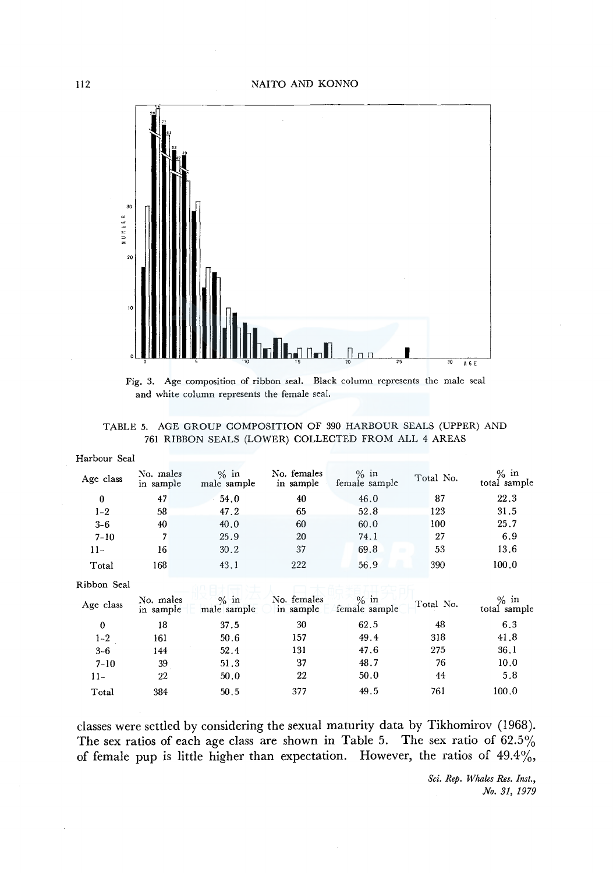

Fig. 3. Age composition of ribbon seal. Black column represents the male seal and white column represents the female seal.

|  |  | TABLE 5. AGE GROUP COMPOSITION OF 390 HARBOUR SEALS (UPPER) AND |  |  |
|--|--|-----------------------------------------------------------------|--|--|
|  |  | 761 RIBBON SEALS (LOWER) COLLECTED FROM ALL 4 AREAS             |  |  |

| Harbour Seal |                        |                        |                          |                          |           |                         |
|--------------|------------------------|------------------------|--------------------------|--------------------------|-----------|-------------------------|
| Age class    | No. males<br>in sample | $\%$ in<br>male sample | No. females<br>in sample | $\%$ in<br>female sample | Total No. | $%$ in<br>total sample  |
| $\bf{0}$     | 47                     | 54.0                   | 40                       | 46.0                     | 87        | 22.3                    |
| $1 - 2$      | 58                     | 47.2                   | 65                       | 52.8                     | 123       | 31.5                    |
| $3 - 6$      | 40                     | 40.0                   | 60                       | 60.0                     | 100       | 25.7                    |
| $7 - 10$     | 7                      | 25.9                   | 20                       | 74.1                     | 27        | 6.9                     |
| $11-$        | 16                     | 30.2                   | 37                       | 69.8<br>œ                | 53        | 13.6                    |
| Total        | 168                    | 43.1                   | 222                      | 56.9                     | 390       | 100.0                   |
| Ribbon Seal  |                        |                        |                          |                          |           |                         |
| Age class    | No. males<br>in sample | $%$ in<br>male sample  | No. females<br>in sample | $\%$ in<br>female sample | Total No. | $\%$ in<br>total sample |
| $\bf{0}$     | 18                     | 37.5                   | 30                       | 62.5                     | 48        | 6.3                     |
| $1 - 2$      | 161                    | 50.6                   | 157                      | 49.4                     | 318       | 41.8                    |
| $3 - 6$      | 144                    | 52.4                   | 131                      | 47.6                     | 275       | 36.1                    |
| $7 - 10$     | 39                     | 51.3                   | 37                       | 48.7                     | 76        | 10.0                    |
| 11-          | 22                     | 50.0                   | 22                       | 50.0                     | 44        | 5.8                     |
| Total        | 384                    | 50.5                   | 377                      | 49.5                     | 761       | 100.0                   |
|              |                        |                        |                          |                          |           |                         |

classes were settled by considering the sexual maturity data by Tikhomirov (1968). The sex ratios of each age class are shown in Table 5. The sex ratio of 62.5% of female pup is little higher than expectation. However, the ratios of  $49.4\%,$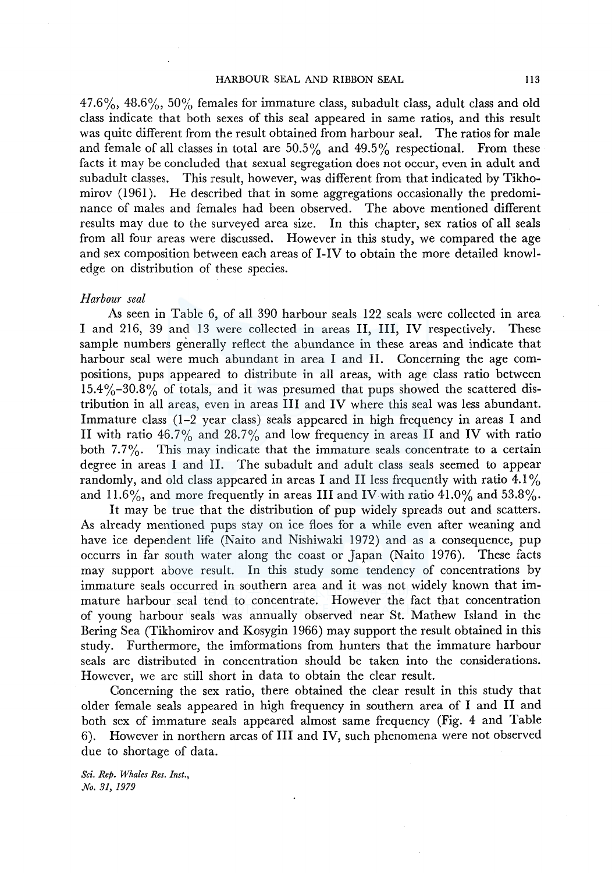$47.6\%$ ,  $48.6\%$ ,  $50\%$  females for immature class, subadult class, adult class and old class indicate that both sexes of this seal appeared in same ratios, and this result was quite different from the result obtained from harbour seal. The ratios for male and female of all classes in total are  $50.5\%$  and  $49.5\%$  respectional. From these facts it may be concluded that sexual segregation does not occur, even in adult and subadult classes. This result, however, was different from that indicated by Tikhomirov (1961). He described that in some aggregations occasionally the predominance of males and females had been observed. The above mentioned different results may due to the surveyed area size. In this chapter, sex ratios of all seals from all four areas were discussed. However in this study, we compared the age and sex composition between each areas of I-IV to obtain the more detailed knowledge on distribution of these species.

### *Harbour seal*

As seen in Table 6, of all 390 harbour seals 122 seals were collected in area I and 216, 39 and 13 were collected in areas II, III, IV respectively. These sample numbers generally reflect the abundance in these areas and indicate that harbour seal were much abundant in area I and II. Concerning the age compositions, pups appeared to distribute in all areas, with age class ratio between  $15.4\% - 30.8\%$  of totals, and it was presumed that pups showed the scattered distribution in all areas, even in areas III and IV where this seal was less abundant. Immature class (1-2 year class) seals appeared in high frequency in areas I and II with ratio 46.7% and 28.7% and low frequency in areas II and IV with ratio both 7.7%. This may indicate that the immature seals concentrate to a certain degree in areas I and II. The subadult and adult class seals seemed to appear randomly, and old class appeared in areas I and II less frequently with ratio 4.1 % and 11.6%, and more frequently in areas III and IV with ratio 41.0% and 53.8%.

It may be true that the distribution of pup widely spreads out and scatters. As already mentioned pups stay on ice floes for a while even after weaning and have ice dependent life (Naito and Nishiwaki 1972) and as a consequence, pup occurrs in far south water along the coast or Japan (Naito 1976). These facts may support above result. In this study some tendency of concentrations by immature seals occurred in southern area and it was not widely known that immature harbour seal tend to concentrate. However the fact that concentration of young harbour seals was annually observed near St. Mathew Island in the Bering Sea (Tikhomirov and Kosygin 1966) may support the result obtained in this study. Furthermore, the imformations from hunters that the immature harbour seals are distributed in concentration should be taken into the considerations. However, we are still short in data to obtain the clear result.

Concerning the sex ratio, there obtained the clear result in this study that older female seals appeared in high frequency in southern area of I and II and both sex of immature seals appeared almost same frequency (Fig. 4 and Table 6). However in northern areas of III and IV, such phenomena were not observed due to shortage of data.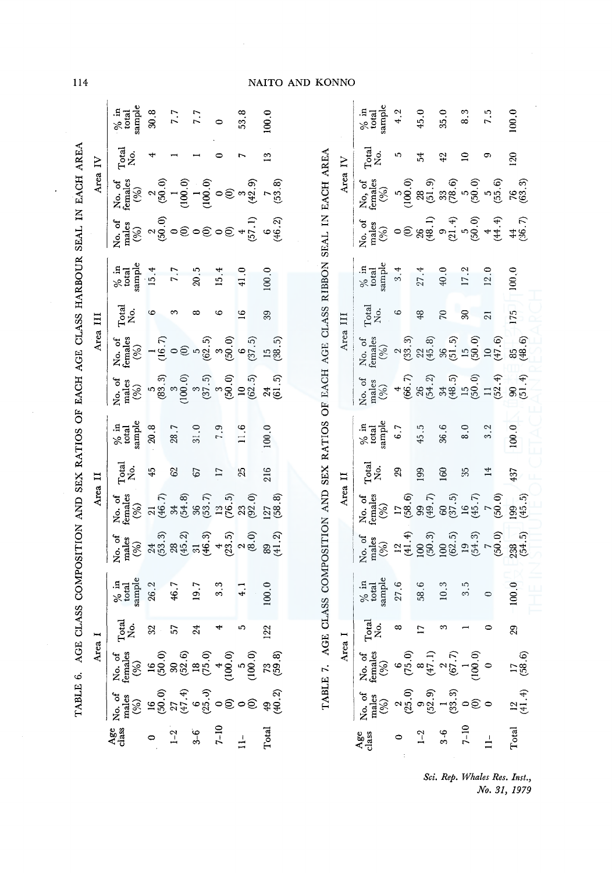| 1、 【 【 】 】 【 】 【 】 【 】 】 】 【 】 【 】 ( 】 】 ( 】 】 ( ) 】 】 ( ) 】 】                     |
|------------------------------------------------------------------------------------|
|                                                                                    |
| ֖֖֖֖֖֖֖֖֧ׅ֖֖֖֧֖֖֧֪֪֪֪֪֪֪֪֪֪֪֪֪֪֪֪֪֪֪֪֪֪֪֪֪֪֪֪֪֪֪֚֚֚֚֚֚֚֚֚֚֚֚֚֚֚֚֚֚֚֚֚֚֬֕֓֕֬֝֬֝֓֞֝֬ |
|                                                                                    |
|                                                                                    |
| :<br>;<br>i                                                                        |
|                                                                                    |
|                                                                                    |
| .<br>.<br>.                                                                        |
| きくしょく こうしんこう しょくしょうしょう しょうしょう しょうしょうしょう こうしょく しょうしょう<br>I                          |
|                                                                                    |
| $\vdots$                                                                           |
|                                                                                    |
| ;;<br>),<br>),                                                                     |
|                                                                                    |
| )<br> <br>                                                                         |
| i<br>i<br>Ï                                                                        |
|                                                                                    |
| For a series<br>ļ<br>j<br>ı<br>1                                                   |

114

| 14                                                                     |          |                                                                                                                                                                                                                                                                                                                                                                                                                                                                                                                 |          |          |          |                 |                                                                                                                                                                                                                                                                                                                                                        | NAITO AND KONNO |  |                                                                           |         |                                                                                                                                                                                                                                                                                                                                                       |                          |                |                                       |                  |                 |                     |  |  |  |
|------------------------------------------------------------------------|----------|-----------------------------------------------------------------------------------------------------------------------------------------------------------------------------------------------------------------------------------------------------------------------------------------------------------------------------------------------------------------------------------------------------------------------------------------------------------------------------------------------------------------|----------|----------|----------|-----------------|--------------------------------------------------------------------------------------------------------------------------------------------------------------------------------------------------------------------------------------------------------------------------------------------------------------------------------------------------------|-----------------|--|---------------------------------------------------------------------------|---------|-------------------------------------------------------------------------------------------------------------------------------------------------------------------------------------------------------------------------------------------------------------------------------------------------------------------------------------------------------|--------------------------|----------------|---------------------------------------|------------------|-----------------|---------------------|--|--|--|
|                                                                        |          | sample<br>$\frac{\%}{\%}$ in                                                                                                                                                                                                                                                                                                                                                                                                                                                                                    | $30.8\,$ | 7.7      | 7.7      | $\bullet$       | 53.8                                                                                                                                                                                                                                                                                                                                                   | 100.0           |  |                                                                           |         | sample<br>$\frac{\%}{\%}$ in                                                                                                                                                                                                                                                                                                                          | 4.2                      | 45.0           | 35.0                                  | 8.3              | 7.5             | 100.0               |  |  |  |
|                                                                        |          | Total<br>No.                                                                                                                                                                                                                                                                                                                                                                                                                                                                                                    |          |          |          |                 |                                                                                                                                                                                                                                                                                                                                                        | 13              |  |                                                                           |         | $\Gamma_{\rm tot}^{\rm cal}$ .                                                                                                                                                                                                                                                                                                                        | ເງ                       | 54             | 42                                    | $\supseteq$      | တ               | 120                 |  |  |  |
|                                                                        | Area IV  | No. of<br>females<br>$(96)$                                                                                                                                                                                                                                                                                                                                                                                                                                                                                     |          |          |          |                 |                                                                                                                                                                                                                                                                                                                                                        |                 |  |                                                                           | Area IV | No, of<br>females<br>$(9/6)$                                                                                                                                                                                                                                                                                                                          |                          |                |                                       |                  |                 |                     |  |  |  |
| COMPOSITION AND SEX RATIOS OF EACH AGE CLASS HARBOUR SEAL IN EACH AREA |          | $X_1 = \begin{pmatrix} 1 & 0 & 0 \\ 0 & 0 & 0 \\ 0 & 0 & 0 \\ 0 & 0 & 0 \end{pmatrix}$ , $X_2 = \begin{pmatrix} 1 & 0 & 0 \\ 0 & 0 & 0 \\ 0 & 0 & 0 \\ 0 & 0 & 0 \end{pmatrix}$                                                                                                                                                                                                                                                                                                                                 |          |          |          |                 |                                                                                                                                                                                                                                                                                                                                                        |                 |  |                                                                           |         | No. of the set of the set of the set of the set of the set of the set of the set of the set of the set of the set of the set of the set of the set of the set of the set of the set of the set of the set of the set of the s                                                                                                                         |                          |                |                                       |                  |                 |                     |  |  |  |
|                                                                        |          | $\begin{array}{c}\hbox{\scriptsize{$\times$}}\text{in}\\ \hbox{\scriptsize total}\\ \text{sample}\end{array}$                                                                                                                                                                                                                                                                                                                                                                                                   | 15.4     | 7.7      | 20.5     | 15.4            | 41.0                                                                                                                                                                                                                                                                                                                                                   | 100.0           |  |                                                                           |         | $\frac{\%}{\%}$ in<br>sample                                                                                                                                                                                                                                                                                                                          | 3.4                      | 27.4           | 40.0                                  | 17.2             | 12.0            | 100, 0              |  |  |  |
|                                                                        |          | $\Gamma_{\rm {oto}}^{\rm {cal}}$                                                                                                                                                                                                                                                                                                                                                                                                                                                                                | 6        | S        | ∞        | అ               | 16                                                                                                                                                                                                                                                                                                                                                     | 39              |  |                                                                           |         | $\Gamma_{\rm{ota}}^{\rm{total}}$                                                                                                                                                                                                                                                                                                                      | $\circ$                  | $48$           | $\approx$                             | $\mathbb{S}$     | $\overline{21}$ | 175                 |  |  |  |
|                                                                        | Area III | No. of<br>females<br>$(\%)$                                                                                                                                                                                                                                                                                                                                                                                                                                                                                     |          |          |          |                 | $\begin{array}{l} -\frac{16}{16},7,\\ -\frac{16}{16},9,9,0\\ \frac{16}{16},9,9,0\\ \frac{16}{16},9,9,0\\ \frac{16}{16},9,0\\ \frac{16}{16},9,0\\ \frac{16}{16},9,0\\ \frac{16}{16},9,0\\ \frac{16}{16},9,0\\ \frac{16}{16},9,0\\ \frac{16}{16},9,0\\ \frac{16}{16},9,0\\ \frac{16}{16},9,0\\ \frac{16}{16},9,0\\ \frac{16}{16},9,0\\ \frac{16}{16},9,$ |                 |  | ASS COMPOSITION AND SEX RATIOS OF EACH AGE CLASS RIBBON SEAL IN EACH AREA |         |                                                                                                                                                                                                                                                                                                                                                       |                          | Area III       | No. of<br>females<br>$(\frac{96}{6})$ |                  |                 |                     |  |  |  |
|                                                                        |          | No. of<br>males<br>$(\%)$                                                                                                                                                                                                                                                                                                                                                                                                                                                                                       |          |          |          |                 |                                                                                                                                                                                                                                                                                                                                                        |                 |  |                                                                           |         |                                                                                                                                                                                                                                                                                                                                                       | No. of<br>males<br>$(%)$ |                |                                       |                  |                 |                     |  |  |  |
|                                                                        |          | sample<br>$\frac{\%}{\%}$ in                                                                                                                                                                                                                                                                                                                                                                                                                                                                                    | $20.8\,$ | $28.7\,$ | $31.0\,$ | 7.9             | 11.6                                                                                                                                                                                                                                                                                                                                                   | 100.0           |  |                                                                           |         |                                                                                                                                                                                                                                                                                                                                                       | 6.7                      | 45.5           | 36.6                                  | 8.0              | 3.2             | 100.0               |  |  |  |
|                                                                        |          | $Tota.$ No.                                                                                                                                                                                                                                                                                                                                                                                                                                                                                                     | 45       | 62       | 67       | $\overline{17}$ | 25                                                                                                                                                                                                                                                                                                                                                     | 216             |  |                                                                           |         | Total<br>No.                                                                                                                                                                                                                                                                                                                                          | 29                       | 199            | 160                                   | 35               | 14              | 437                 |  |  |  |
|                                                                        | Area II  | No. of<br>females<br>$(%)$                                                                                                                                                                                                                                                                                                                                                                                                                                                                                      |          |          |          |                 |                                                                                                                                                                                                                                                                                                                                                        |                 |  |                                                                           | Area II | No. of<br>females<br>$(%)$                                                                                                                                                                                                                                                                                                                            |                          |                |                                       |                  |                 |                     |  |  |  |
|                                                                        |          | $\sum_{i=1}^{n}$ $\sum_{i=1}^{n}$ $\sum_{i=1}^{n}$ $\sum_{i=1}^{n}$ $\sum_{i=1}^{n}$ $\sum_{i=1}^{n}$ $\sum_{i=1}^{n}$ $\sum_{i=1}^{n}$ $\sum_{i=1}^{n}$ $\sum_{i=1}^{n}$ $\sum_{i=1}^{n}$ $\sum_{i=1}^{n}$ $\sum_{i=1}^{n}$ $\sum_{i=1}^{n}$ $\sum_{i=1}^{n}$ $\sum_{i=1}^{n}$ $\sum_{i=1}^{n}$                                                                                                                                                                                                                |          |          |          |                 |                                                                                                                                                                                                                                                                                                                                                        |                 |  |                                                                           |         | No. 03<br>1988<br>1989<br>1989<br>1989<br>1989<br>1989<br>1989<br>1989<br>1989<br>1989<br>1989<br>1989<br>1989<br>1989<br>1989<br>1989<br>1989<br>1989<br>1989<br>1989<br>1989                                                                                                                                                                        |                          |                |                                       |                  |                 |                     |  |  |  |
|                                                                        |          | $\begin{array}{c} \text{96} \\ \text{total} \\ \text{sample} \end{array}$                                                                                                                                                                                                                                                                                                                                                                                                                                       | 26.2     | 46.7     | 19.7     | 3.3             | $\frac{1}{4}$                                                                                                                                                                                                                                                                                                                                          | 100.0           |  |                                                                           |         | $\begin{array}{c} \gamma_0 \text{ in} \\ \text{total} \\ \text{sample} \end{array}$                                                                                                                                                                                                                                                                   | 27.6                     | 58.6           | 10.3                                  | $3.\overline{5}$ | $\circ$         | 100.0               |  |  |  |
|                                                                        |          | $_{\rm No.}^{\rm Total}$                                                                                                                                                                                                                                                                                                                                                                                                                                                                                        | $32\,$   | 57       | 24       |                 | ທ                                                                                                                                                                                                                                                                                                                                                      | 122             |  |                                                                           |         | $\Gamma^{\rm{total}}_{\rm{No.}}$                                                                                                                                                                                                                                                                                                                      | $\infty$                 | $\overline{1}$ | $\infty$                              |                  |                 | 29                  |  |  |  |
| TABLE 6. AGE CLASS<br>Area I                                           |          | $\begin{array}{cccccc} \Sigma_{\mathbf{C}} & \Sigma_{\mathbf{C}} & \Sigma_{\mathbf{C}} & \Sigma_{\mathbf{C}} & \Sigma_{\mathbf{C}} & \Sigma_{\mathbf{C}} & \Sigma_{\mathbf{C}} \\ \Sigma_{\mathbf{C}} & \Sigma_{\mathbf{C}} & \Sigma_{\mathbf{C}} & \Sigma_{\mathbf{C}} & \Sigma_{\mathbf{C}} & \Sigma_{\mathbf{C}} & \Sigma_{\mathbf{C}} \\ \Sigma_{\mathbf{C}} & \Sigma_{\mathbf{C}} & \Sigma_{\mathbf{C}} & \Sigma_{\mathbf{C}} & \Sigma_{\mathbf{C}} & \Sigma_{\mathbf{C}} & \Sigma_{\mathbf{C}} \\ \Sigma$ |          |          |          |                 |                                                                                                                                                                                                                                                                                                                                                        |                 |  | TABLE 7. AGE CLA                                                          | Area I  | No. of<br>ternates<br>$(6, 0)$<br>$(75, 0)$<br>$(8, 1)$<br>$(8, 7)$<br>$(100, 0)$<br>$(100, 0)$<br>$(100, 0)$<br>$(100, 0)$                                                                                                                                                                                                                           |                          |                |                                       |                  |                 |                     |  |  |  |
|                                                                        |          | $X_0$ of $\frac{3}{2}$<br>$X_1 = \frac{3}{2}$<br>$X_2 = \frac{3}{2}$<br>$X_3 = \frac{3}{2}$<br>$X_4 = \frac{3}{2}$<br>$X_5 = \frac{3}{2}$<br>$X_6 = \frac{3}{2}$<br>$X_7 = \frac{3}{2}$<br>$X_8 = \frac{3}{2}$                                                                                                                                                                                                                                                                                                  |          |          |          |                 |                                                                                                                                                                                                                                                                                                                                                        |                 |  |                                                                           |         | $N_c$ , of $\frac{1}{2}$<br>$\frac{1}{2}$<br>$\frac{1}{2}$<br>$\frac{1}{2}$<br>$\frac{1}{2}$<br>$\frac{1}{2}$<br>$\frac{1}{2}$<br>$\frac{1}{2}$<br>$\frac{1}{2}$<br>$\frac{1}{2}$<br>$\frac{1}{2}$<br>$\frac{1}{2}$<br>$\frac{1}{2}$<br>$\frac{1}{2}$<br>$\frac{1}{2}$<br>$\frac{1}{2}$<br>$\frac{1}{2}$<br>$\frac{1}{2}$<br>$\frac{1}{2}$<br>$\frac$ |                          |                |                                       |                  |                 | $\frac{12}{(41.4)}$ |  |  |  |
|                                                                        |          | Age<br>class                                                                                                                                                                                                                                                                                                                                                                                                                                                                                                    | $\circ$  | $1-2$    | $3-6$    | $7 - 10$        | $\frac{1}{2}$                                                                                                                                                                                                                                                                                                                                          | Total           |  |                                                                           |         | Age<br>class                                                                                                                                                                                                                                                                                                                                          |                          | $1 - 2$        | $3-6$                                 | $7 - 10$         | $\frac{1}{2}$   | Total               |  |  |  |

::0 3-6 l 2 3 10.3 100 60 160 36.6 34 36 70 40.0 9 33 42 35.0 ~ 7-10 0 l 1 3.5 19 16 35 8.0 15 15 30 17.2 5 5 10 8.3 <:. "' 11- 0 0 0 0 7 7 14 3.2 11 10 21 12.0 4 5 9 7.5 tc; ~ Total 12 17 29 100.0 238 199 437 100.0 90 85 17.5 100.0 44 76 120 100.0 ~ (52.9) (47 .1) (50.3) (49. 7) (54.2) (45.8) (48. l) (51.9) :-'· \$ (32.) (4. 12. 3) (6. 15. 15.) (6. 15.) (6. 15. 5) (6. 15. 5) (6. 15. 5) (6. 16. 5) (5. 15. 5) (5. 15. 5) (5<br>\$ ~~ (0) (100. 0) (54.3) (45. 7) (50.0) (50.0) (50.0) (50.0) ;\_,, ::0 (50.0) (50.0) (52 .4) (47 .6) (44.4) (55 .6) ......... ~ 979 . (41.4) (58.6) (58.6) (45.5) (45.5) (45.5) (54.5) (54.5) (51.4) (51.4) (58.6) (58.6) (58.7) (63.5) Sci. Rep. Whales Res. Inst., No. 31, 1979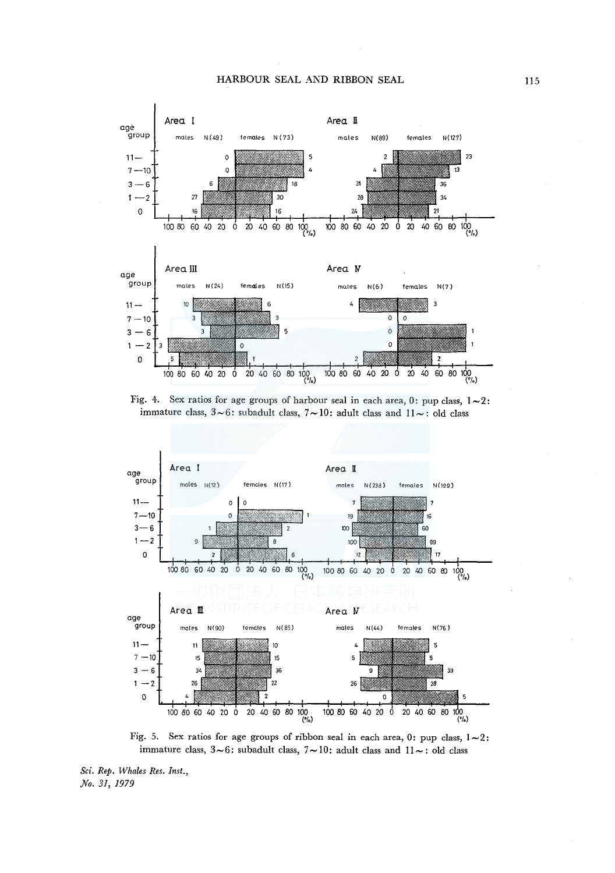





Fig. 5. Sex ratios for age groups of ribbon seal in each area, 0: pup class,  $1 \sim 2$ : immature class,  $3\!\sim\!6$ : subadult class,  $7\!\sim\!10$ : adult class and  $11\!\sim\!$ : old class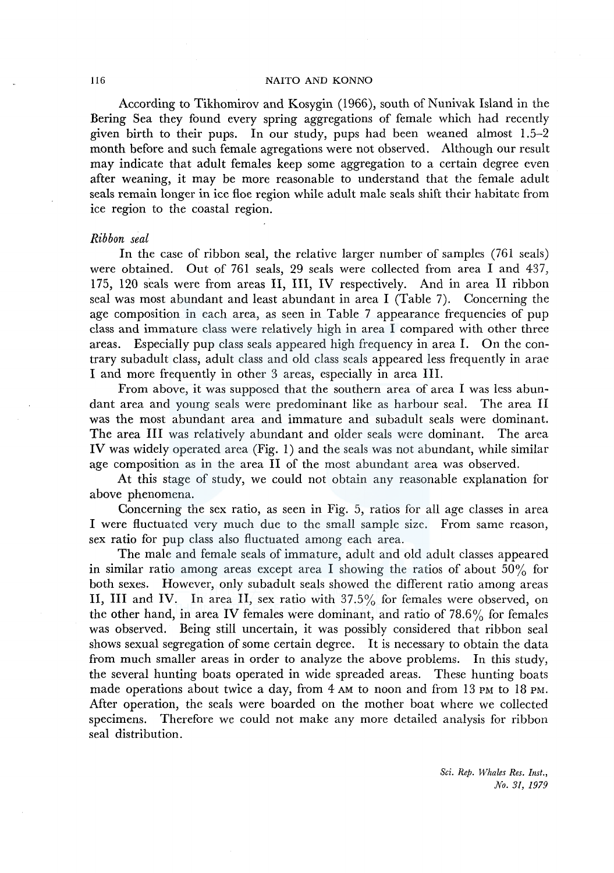According to Tikhomirov and Kosygin (1966), south of Nunivak Island in the Bering Sea they found every spring aggregations of female which had recently given birth to their pups. In our study, pups had been weaned almost 1.5-2 month before and such female agregations were not observed. Although our result may indicate that adult females keep some aggregation to a certain degree even after weaning, it may be more reasonable to understand that the female adult seals remain longer in ice floe region while adult male seals shift their habitate from ice region to the coastal region.

# *Ribbon seal*

In the case of ribbon seal, the relative larger number of samples (761 seals) were obtained. Out of 761 seals, 29 seals were collected from area I and 437, 175, 120 seals were from areas II, III, IV respectively. And in area II ribbon seal was most abundant and least abundant in area I (Table 7). Concerning the age composition in each area, as seen in Table 7 appearance frequencies of pup class and immature class were relatively high in area I compared with other three areas. Especially pup class seals appeared high frequency in area I. On the contrary subadult class, adult class and old class seals appeared less frequently in arae I and more frequently in other 3 areas, especially in area III.

From above, it was supposed that the southern area of area I was less abundant area and young seals were predominant like as harbour seal. The area II was the most abundant area and immature and subadult seals were dominant. The area III was relatively abundant and older seals were dominant. The area IV was widely operated area (Fig. 1) and the seals was not abundant, while similar age composition as in the area II of the most abundant area was observed.

At this stage of study, we could not obtain any reasonable explanation for above phenomena.

Concerning the sex ratio, as seen in Fig. 5, ratios for all age classes in area I were fluctuated very much due to the small sample size. From same reason, sex ratio for pup class also fluctuated among each area.

The male and female seals of immature, adult and old adult classes appeared in similar ratio among areas except area I showing the ratios of about  $50\%$  for both sexes. However, only subadult seals showed the different ratio among areas II, III and IV. In area II, sex ratio with 37.5% for females were observed, on the other hand, in area IV females were dominant, and ratio of  $78.6\%$  for females was observed. Being still uncertain, it was possibly considered that ribbon seal shows sexual segregation of some certain degree. It is necessary to obtain the data from much smaller areas in order to analyze the above problems. In this study, the several hunting boats operated in wide spreaded areas. These hunting boats made operations about twice a day, from  $4 \text{ AM}$  to noon and from 13 PM to 18 PM. After operation, the seals were boarded on the mother boat where we collected specimens. Therefore we could not make any more detailed analysis for ribbon seal distribution.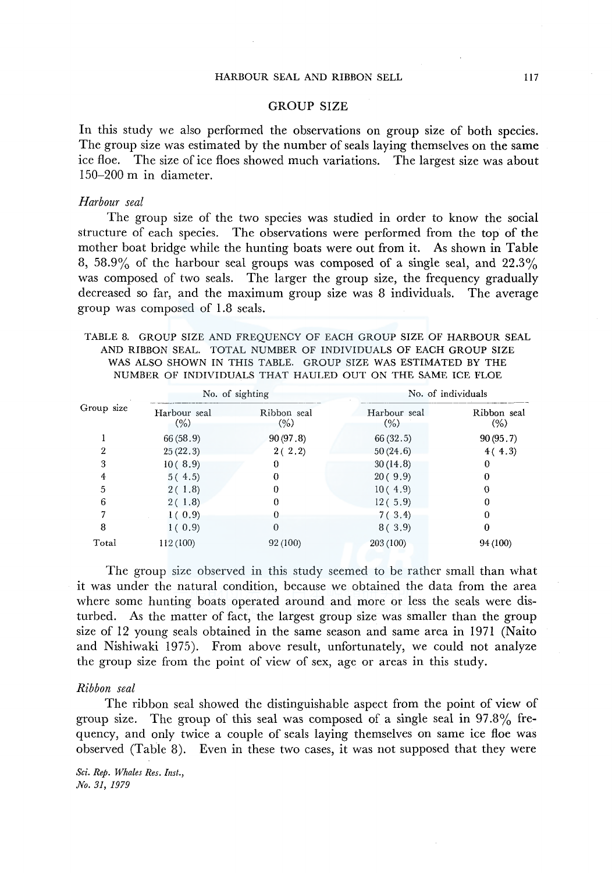# GROUP SIZE

In this study we also performed the observations on group size of both species. The group size was estimated by the number of seals laying themselves on the same ice floe. The size of ice floes showed much variations. The largest size was about 150-200 m in diameter.

# *Harbour seal*

The group size of the two species was studied in order to know the social structure of each species. The observations were performed from the top of the mother boat bridge while the hunting boats were out from it. As shown in Table 8, 58.9% of the harbour seal groups was composed of a single seal, and  $22.3\%$ was composed of two seals. The larger the group size, the frequency gradually decreased so far, and the maximum group size was 8 individuals. The average group was composed of 1.8 seals.

TABLE 8. GROUP SIZE AND FREQUENCY OF EACH GROUP SIZE OF HARBOUR SEAL AND RIBBON SEAL. TOTAL NUMBER OF INDIVIDUALS OF EACH GROUP SIZE WAS ALSO SHOWN IN THIS TABLE. GROUP SIZE WAS ESTIMATED BY THE NUMBER OF INDIVIDUALS THAT HAULED OUT ON THE SAME ICE FLOE

| Group size |                      | No. of sighting        | No. of individuals   |                        |  |  |
|------------|----------------------|------------------------|----------------------|------------------------|--|--|
|            | Harbour seal<br>(% ) | Ribbon seal<br>$(\% )$ | Harbour seal<br>(% ) | Ribbon seal<br>$(\% )$ |  |  |
|            | 66(58.9)             | 90(97.8)               | 66(32.5)             | 90(95.7)               |  |  |
| 2          | 25(22.3)             | 2(2.2)                 | 50(24.6)             | 4(4.3)                 |  |  |
| 3          | 10(8.9)              | 0                      | 30(14.8)             | 0                      |  |  |
|            | 5(4.5)               |                        | 20(9.9)              |                        |  |  |
| 5          | 2(1.8)               |                        | 10(4.9)              |                        |  |  |
| 6          | 2(1.8)               |                        | 12(5.9)              |                        |  |  |
|            | 1(0.9)               |                        | 7(3.4)               |                        |  |  |
| 8          | 1(0.9)               | $\Omega$               | 8(3.9)               | 0                      |  |  |
| Total      | 112 (100)            | 92 (100)               | 203 (100)            | 94 (100)               |  |  |

The group size observed in this study seemed to be rather small than what it was under the natural condition, because we obtained the data from the area where some hunting boats operated around and more or less the seals were disturbed. As the matter of fact, the largest group size was smaller than the group size of 12 young seals obtained in the same season and same area in 1971 (Naito and Nishiwaki 1975). From above result, unfortunately, we could not analyze the group size from the point of view of sex, age or areas in this study.

### *Ribbon seal*

The ribbon seal showed the distinguishable aspect from the point of view of group size. The group of this seal was composed of a single seal in 97.8% frequency, and only twice a couple of seals laying themselves on same ice floe was observed (Table 8). Even in these two cases, it was not supposed that they were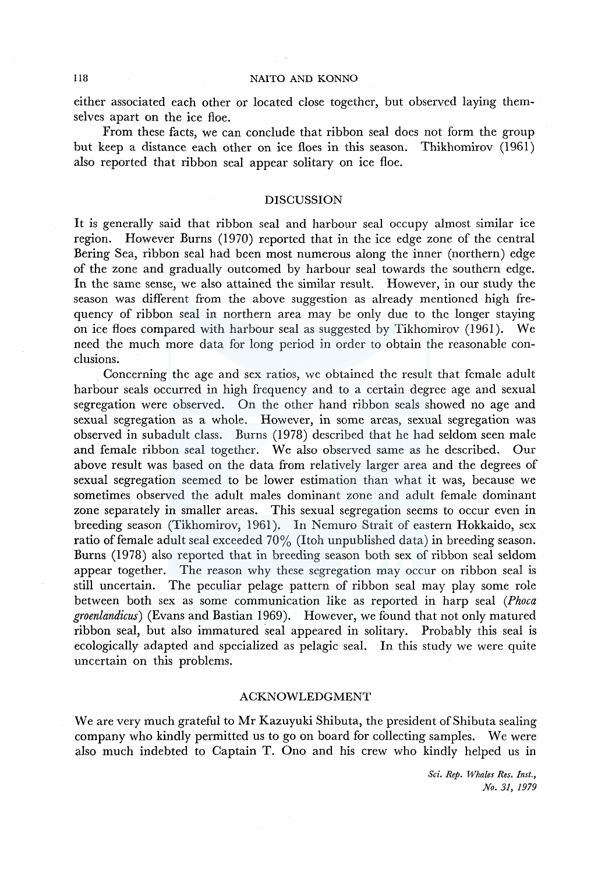either associated each other or located close together, but observed laying themselves apart on the ice floe.

From these facts, we can conclude that ribbon seal does not form the group but keep a distance each other on ice floes in this season. Thikhomirov (1961) also reported that ribbon seal appear solitary on ice floe.

# DISCUSSION

It is generally said that ribbon seal and harbour seal occupy almost similar ice region. However Burns (1970) reported that in the ice edge zone of the central Bering Sea, ribbon seal had been most numerous along the inner (northern) edge of the zone and gradually outcomed by harbour seal towards the southern edge. In the same sense, we also attained the similar result. However, in our study the season was different from the above suggestion as already mentioned high frequency of ribbon seal in northern area may be only due to the longer staying on ice floes compared with harbour seal as suggested by Tikhomirov (1961). We need the much more data for long period in order to obtain the reasonable conclusions.

Concerning the age and sex ratios, we obtained the result that female adult harbour seals occurred in high frequency and to a certain degree age and sexual segregation were observed. On the other hand ribbon seals showed no age and sexual segregation as a whole. However, in some areas, sexual segregation was observed in subadult class. Burns (1978) described that he had seldom seen male and female ribbon seal together. We also observed same as he described. Our above result was based on the data from relatively larger area and the degrees of sexual segregation seemed to be lower estimation than what it was, because we sometimes observed the adult males dominant zone and adult female dominant zone separately in smaller areas. This sexual segregation seems to occur even in breeding season (Tikhomirov, 1961). In Nemuro Strait of eastern Hokkaido, sex ratio of female adult seal exceeded  $70\%$  (Itoh unpublished data) in breeding season. Burns (1978) also reported that in breeding season both sex of ribbon seal seldom appear together. The reason why these segregation may occur on ribbon seal is still uncertain. The peculiar pelage pattern of ribbon seal may play some role between both sex as some communication like as reported in harp seal *(Phoca groenlandicus)* (Evans and Bastian 1969). However, we found that not only matured ribbon seal, but also immatured seal appeared in solitary. Probably this seal is ecologically adapted and specialized as pelagic seal. In this study we were quite uncertain on this problems.

# ACKNOWLEDGMENT

We are very much grateful to Mr Kazuyuki Shibuta, the president of Shibuta sealing company who kindly permitted us to go on board for collecting samples. We were also much indebted to Captain T. Ono and his crew who kindly helped us in